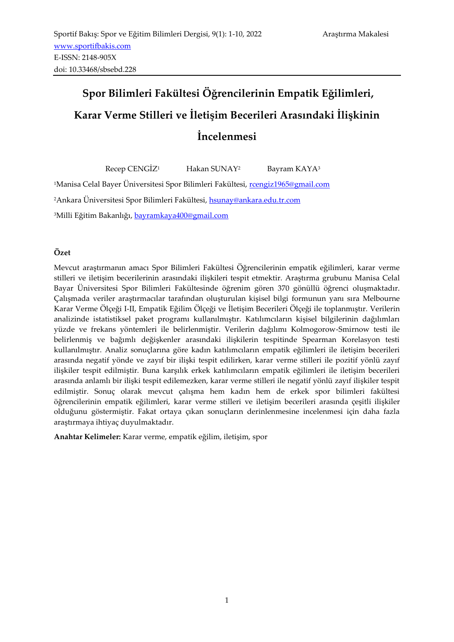# **Spor Bilimleri Fakültesi Öğrencilerinin Empatik Eğilimleri, Karar Verme Stilleri ve İletişim Becerileri Arasındaki İlişkinin İncelenmesi**

Recep CENGİZ<sup>1</sup> Hakan SUNAY<sup>2</sup> Bayram KAYA<sup>3</sup> <sup>1</sup>Manisa Celal Bayer Üniversitesi Spor Bilimleri Fakültesi, [rcengiz1965@gmail.com](mailto:rcengiz1965@gmail.com) <sup>2</sup>Ankara Üniversitesi Spor Bilimleri Fakültesi, [hsunay@ankara.edu.tr.com](mailto:hsunay@ankara.edu.tr.com) <sup>3</sup>Milli Eğitim Bakanlığı, [bayramkaya400@gmail.com](mailto:bayramkaya400@gmail.com)

# **Özet**

Mevcut araştırmanın amacı Spor Bilimleri Fakültesi Öğrencilerinin empatik eğilimleri, karar verme stilleri ve iletişim becerilerinin arasındaki ilişkileri tespit etmektir. Araştırma grubunu Manisa Celal Bayar Üniversitesi Spor Bilimleri Fakültesinde öğrenim gören 370 gönüllü öğrenci oluşmaktadır. Çalışmada veriler araştırmacılar tarafından oluşturulan kişisel bilgi formunun yanı sıra Melbourne Karar Verme Ölçeği I-II, Empatik Eğilim Ölçeği ve İletişim Becerileri Ölçeği ile toplanmıştır. Verilerin analizinde istatistiksel paket programı kullanılmıştır. Katılımcıların kişisel bilgilerinin dağılımları yüzde ve frekans yöntemleri ile belirlenmiştir. Verilerin dağılımı Kolmogorow-Smirnow testi ile belirlenmiş ve bağımlı değişkenler arasındaki ilişkilerin tespitinde Spearman Korelasyon testi kullanılmıştır. Analiz sonuçlarına göre kadın katılımcıların empatik eğilimleri ile iletişim becerileri arasında negatif yönde ve zayıf bir ilişki tespit edilirken, karar verme stilleri ile pozitif yönlü zayıf ilişkiler tespit edilmiştir. Buna karşılık erkek katılımcıların empatik eğilimleri ile iletişim becerileri arasında anlamlı bir ilişki tespit edilemezken, karar verme stilleri ile negatif yönlü zayıf ilişkiler tespit edilmiştir. Sonuç olarak mevcut çalışma hem kadın hem de erkek spor bilimleri fakültesi öğrencilerinin empatik eğilimleri, karar verme stilleri ve iletişim becerileri arasında çeşitli ilişkiler olduğunu göstermiştir. Fakat ortaya çıkan sonuçların derinlenmesine incelenmesi için daha fazla araştırmaya ihtiyaç duyulmaktadır.

**Anahtar Kelimeler:** Karar verme, empatik eğilim, iletişim, spor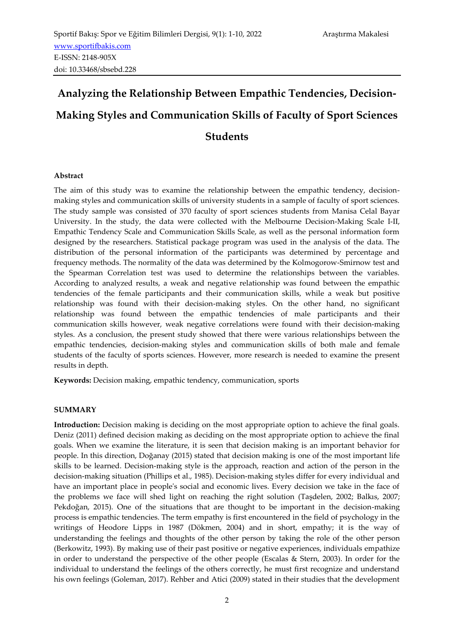# **Analyzing the Relationship Between Empathic Tendencies, Decision-Making Styles and Communication Skills of Faculty of Sport Sciences Students**

# **Abstract**

The aim of this study was to examine the relationship between the empathic tendency, decisionmaking styles and communication skills of university students in a sample of faculty of sport sciences. The study sample was consisted of 370 faculty of sport sciences students from Manisa Celal Bayar University. In the study, the data were collected with the Melbourne Decision-Making Scale I-II, Empathic Tendency Scale and Communication Skills Scale, as well as the personal information form designed by the researchers. Statistical package program was used in the analysis of the data. The distribution of the personal information of the participants was determined by percentage and frequency methods. The normality of the data was determined by the Kolmogorow-Smirnow test and the Spearman Correlation test was used to determine the relationships between the variables. According to analyzed results, a weak and negative relationship was found between the empathic tendencies of the female participants and their communication skills, while a weak but positive relationship was found with their decision-making styles. On the other hand, no significant relationship was found between the empathic tendencies of male participants and their communication skills however, weak negative correlations were found with their decision-making styles. As a conclusion, the present study showed that there were various relationships between the empathic tendencies, decision-making styles and communication skills of both male and female students of the faculty of sports sciences. However, more research is needed to examine the present results in depth.

**Keywords:** Decision making, empathic tendency, communication, sports

#### **SUMMARY**

**Introduction:** Decision making is deciding on the most appropriate option to achieve the final goals. Deniz (2011) defined decision making as deciding on the most appropriate option to achieve the final goals. When we examine the literature, it is seen that decision making is an important behavior for people. In this direction, Doğanay (2015) stated that decision making is one of the most important life skills to be learned. Decision-making style is the approach, reaction and action of the person in the decision-making situation (Phillips et al., 1985). Decision-making styles differ for every individual and have an important place in people's social and economic lives. Every decision we take in the face of the problems we face will shed light on reaching the right solution (Taşdelen, 2002; Balkıs, 2007; Pekdoğan, 2015). One of the situations that are thought to be important in the decision-making process is empathic tendencies. The term empathy is first encountered in the field of psychology in the writings of Heodore Lipps in 1987 (Dökmen, 2004) and in short, empathy; it is the way of understanding the feelings and thoughts of the other person by taking the role of the other person (Berkowitz, 1993). By making use of their past positive or negative experiences, individuals empathize in order to understand the perspective of the other people (Escalas & Stern, 2003). In order for the individual to understand the feelings of the others correctly, he must first recognize and understand his own feelings (Goleman, 2017). Rehber and Atici (2009) stated in their studies that the development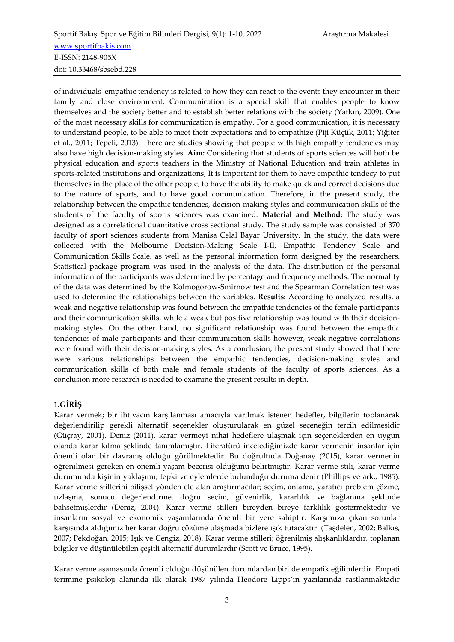of individuals' empathic tendency is related to how they can react to the events they encounter in their family and close environment. Communication is a special skill that enables people to know themselves and the society better and to establish better relations with the society (Yatkın, 2009). One of the most necessary skills for communication is empathy. For a good communication, it is necessary to understand people, to be able to meet their expectations and to empathize (Piji Küçük, 2011; Yiğiter et al., 2011; Tepeli, 2013). There are studies showing that people with high empathy tendencies may also have high decision-making styles. **Aim:** Considering that students of sports sciences will both be physical education and sports teachers in the Ministry of National Education and train athletes in sports-related institutions and organizations; It is important for them to have empathic tendecy to put themselves in the place of the other people, to have the ability to make quick and correct decisions due to the nature of sports, and to have good communication. Therefore, in the present study, the relationship between the empathic tendencies, decision-making styles and communication skills of the students of the faculty of sports sciences was examined. **Material and Method:** The study was designed as a correlational quantitative cross sectional study. The study sample was consisted of 370 faculty of sport sciences students from Manisa Celal Bayar University. In the study, the data were collected with the Melbourne Decision-Making Scale I-II, Empathic Tendency Scale and Communication Skills Scale, as well as the personal information form designed by the researchers. Statistical package program was used in the analysis of the data. The distribution of the personal information of the participants was determined by percentage and frequency methods. The normality of the data was determined by the Kolmogorow-Smirnow test and the Spearman Correlation test was used to determine the relationships between the variables. **Results:** According to analyzed results, a weak and negative relationship was found between the empathic tendencies of the female participants and their communication skills, while a weak but positive relationship was found with their decisionmaking styles. On the other hand, no significant relationship was found between the empathic tendencies of male participants and their communication skills however, weak negative correlations were found with their decision-making styles. As a conclusion, the present study showed that there were various relationships between the empathic tendencies, decision-making styles and communication skills of both male and female students of the faculty of sports sciences. As a conclusion more research is needed to examine the present results in depth.

# **1.GİRİŞ**

Karar vermek; bir ihtiyacın karşılanması amacıyla varılmak istenen hedefler, bilgilerin toplanarak değerlendirilip gerekli alternatif seçenekler oluşturularak en güzel seçeneğin tercih edilmesidir (Güçray, 2001). Deniz (2011), karar vermeyi nihai hedeflere ulaşmak için seçeneklerden en uygun olanda karar kılma şeklinde tanımlamıştır. Literatürü incelediğimizde karar vermenin insanlar için önemli olan bir davranış olduğu görülmektedir. Bu doğrultuda Doğanay (2015), karar vermenin öğrenilmesi gereken en önemli yaşam becerisi olduğunu belirtmiştir. Karar verme stili, karar verme durumunda kişinin yaklaşımı, tepki ve eylemlerde bulunduğu duruma denir (Phillips ve ark., 1985). Karar verme stillerini bilişsel yönden ele alan araştırmacılar; seçim, anlama, yaratıcı problem çözme, uzlaşma, sonucu değerlendirme, doğru seçim, güvenirlik, kararlılık ve bağlanma şeklinde bahsetmişlerdir (Deniz, 2004). Karar verme stilleri bireyden bireye farklılık göstermektedir ve insanların sosyal ve ekonomik yaşamlarında önemli bir yere sahiptir. Karşımıza çıkan sorunlar karşısında aldığımız her karar doğru çözüme ulaşmada bizlere ışık tutacaktır (Taşdelen, 2002; Balkıs, 2007; Pekdoğan, 2015; Işık ve Cengiz, 2018). Karar verme stilleri; öğrenilmiş alışkanlıklardır, toplanan bilgiler ve düşünülebilen çeşitli alternatif durumlardır (Scott ve Bruce, 1995).

Karar verme aşamasında önemli olduğu düşünülen durumlardan biri de empatik eğilimlerdir. Empati terimine psikoloji alanında ilk olarak 1987 yılında Heodore Lipps'in yazılarında rastlanmaktadır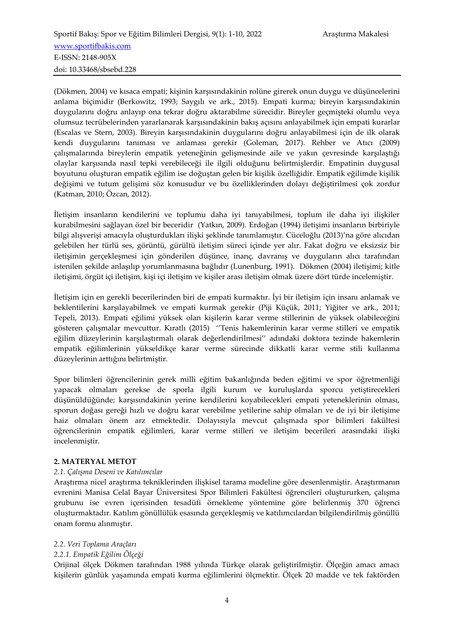(Dökmen, 2004) ve kısaca empati; kişinin karşısındakinin rolüne girerek onun duygu ve düşüncelerini anlama biçimidir (Berkowitz, 1993; Saygılı ve ark., 2015). Empati kurma; bireyin karşısındakinin duygularını doğru anlayıp ona tekrar doğru aktarabilme sürecidir. Bireyler geçmişteki olumlu veya olumsuz tecrübelerinden yararlanarak karşısındakinin bakış açısını anlayabilmek için empati kurarlar (Escalas ve Stern, 2003). Bireyin karşısındakinin duygularını doğru anlayabilmesi için de ilk olarak kendi duygularını tanıması ve anlaması gerekir (Goleman, 2017). Rehber ve Atıcı (2009) çalışmalarında bireylerin empatik yeteneğinin gelişmesinde aile ve yakın çevresinde karşılaştığı olaylar karşısında nasıl tepki verebileceği ile ilgili olduğunu belirtmişlerdir. Empatinin duygusal boyutunu oluşturan empatik eğilim ise doğuştan gelen bir kişilik özelliğidir. Empatik eğilimde kişilik değişimi ve tutum gelişimi söz konusudur ve bu özelliklerinden dolayı değiştirilmesi çok zordur (Katman, 2010; Özcan, 2012).

İletişim insanların kendilerini ve toplumu daha iyi tanıyabilmesi, toplum ile daha iyi ilişkiler kurabilmesini sağlayan özel bir beceridir (Yatkın, 2009). Erdoğan (1994) iletişimi insanların birbiriyle bilgi alışverişi amacıyla oluşturdukları ilişki şeklinde tanımlamıştır. Cüceloğlu (2013)'na göre alıcıdan gelebilen her türlü ses, görüntü, gürültü iletişim süreci içinde yer alır. Fakat doğru ve eksizsiz bir iletişimin gerçekleşmesi için gönderilen düşünce, inanç, davranış ve duyguların alıcı tarafından istenilen şekilde anlaşılıp yorumlanmasına bağlıdır (Lunenburg, 1991). Dökmen (2004) iletişimi; kitle iletişimi, örgüt içi iletişim, kişi içi iletişim ve kişiler arası iletişim olmak üzere dört türde incelemiştir.

İletişim için en gerekli becerilerinden biri de empati kurmaktır. İyi bir iletişim için insanı anlamak ve beklentilerini karşılayabilmek ve empati kurmak gerekir (Piji Küçük, 2011; Yiğiter ve ark., 2011; Tepeli, 2013). Empati eğilimi yüksek olan kişilerin karar verme stillerinin de yüksek olabileceğini gösteren çalışmalar mevcuttur. Kıratlı (2015) ''Tenis hakemlerinin karar verme stilleri ve empatik eğilim düzeylerinin karşılaştırmalı olarak değerlendirilmesi'' adındaki doktora tezinde hakemlerin empatik eğilimlerinin yükseldikçe karar verme sürecinde dikkatli karar verme stili kullanma düzeylerinin arttığını belirtmiştir.

Spor bilimleri öğrencilerinin gerek milli eğitim bakanlığında beden eğitimi ve spor öğretmenliği yapacak olmaları gerekse de sporla ilgili kurum ve kuruluşlarda sporcu yetiştirecekleri düşünüldüğünde; karşısındakinin yerine kendilerini koyabilecekleri empati yeteneklerinin olması, sporun doğası gereği hızlı ve doğru karar verebilme yetilerine sahip olmaları ve de iyi bir iletişime haiz olmaları önem arz etmektedir. Dolayısıyla mevcut çalışmada spor bilimleri fakültesi öğrencilerinin empatik eğilimleri, karar verme stilleri ve iletişim becerileri arasındaki ilişki incelenmiştir.

# **2. MATERYAL METOT**

#### *2.1. Çalışma Deseni ve Katılımcılar*

Araştırma nicel araştırma tekniklerinden ilişkisel tarama modeline göre desenlenmiştir. Araştırmanın evrenini Manisa Celal Bayar Üniversitesi Spor Bilimleri Fakültesi öğrencileri oluştururken, çalışma grubunu ise evren içerisinden tesadüfi örnekleme yöntemine göre belirlenmiş 370 öğrenci oluşturmaktadır. Katılım gönüllülük esasında gerçekleşmiş ve katılımcılardan bilgilendirilmiş gönüllü onam formu alınmıştır.

#### *2.2. Veri Toplama Araçları*

# *2.2.1. Empatik Eğilim Ölçeği*

Orijinal ölçek Dökmen tarafından 1988 yılında Türkçe olarak geliştirilmiştir. Ölçeğin amacı amacı kişilerin günlük yaşamında empati kurma eğilimlerini ölçmektir. Ölçek 20 madde ve tek faktörden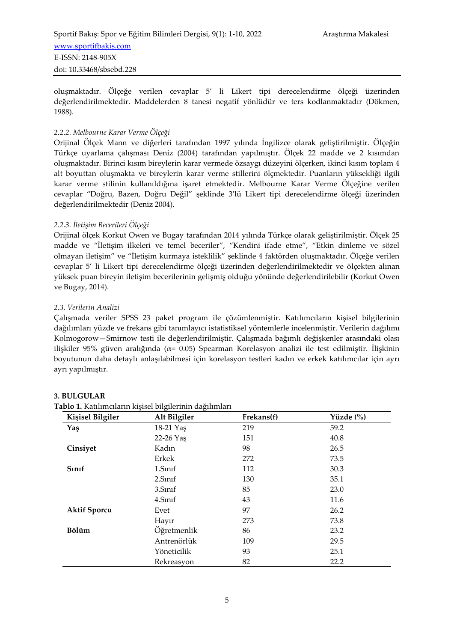oluşmaktadır. Ölçeğe verilen cevaplar 5' li Likert tipi derecelendirme ölçeği üzerinden değerlendirilmektedir. Maddelerden 8 tanesi negatif yönlüdür ve ters kodlanmaktadır (Dökmen, 1988).

### *2.2.2. Melbourne Karar Verme Ölçeği*

Orijinal Ölçek Mann ve diğerleri tarafından 1997 yılında İngilizce olarak geliştirilmiştir. Ölçeğin Türkçe uyarlama çalışması Deniz (2004) tarafından yapılmıştır. Ölçek 22 madde ve 2 kısımdan oluşmaktadır. Birinci kısım bireylerin karar vermede özsaygı düzeyini ölçerken, ikinci kısım toplam 4 alt boyuttan oluşmakta ve bireylerin karar verme stillerini ölçmektedir. Puanların yüksekliği ilgili karar verme stilinin kullanıldığına işaret etmektedir. Melbourne Karar Verme Ölçeğine verilen cevaplar "Doğru, Bazen, Doğru Değil" şeklinde 3'lü Likert tipi derecelendirme ölçeği üzerinden değerlendirilmektedir (Deniz 2004).

#### *2.2.3. İletişim Becerileri Ölçeği*

Orijinal ölçek Korkut Owen ve Bugay tarafından 2014 yılında Türkçe olarak geliştirilmiştir. Ölçek 25 madde ve "İletişim ilkeleri ve temel beceriler", "Kendini ifade etme", "Etkin dinleme ve sözel olmayan iletişim" ve "İletişim kurmaya isteklilik" şeklinde 4 faktörden oluşmaktadır. Ölçeğe verilen cevaplar 5' li Likert tipi derecelendirme ölçeği üzerinden değerlendirilmektedir ve ölçekten alınan yüksek puan bireyin iletişim becerilerinin gelişmiş olduğu yönünde değerlendirilebilir (Korkut Owen ve Bugay, 2014).

#### *2.3. Verilerin Analizi*

Çalışmada veriler SPSS 23 paket program ile çözümlenmiştir. Katılımcıların kişisel bilgilerinin dağılımları yüzde ve frekans gibi tanımlayıcı istatistiksel yöntemlerle incelenmiştir. Verilerin dağılımı Kolmogorow—Smirnow testi ile değerlendirilmiştir. Çalışmada bağımlı değişkenler arasındaki olası ilişkiler 95% güven aralığında ( $\alpha$ = 0.05) Spearman Korelasyon analizi ile test edilmiştir. İlişkinin boyutunun daha detaylı anlaşılabilmesi için korelasyon testleri kadın ve erkek katılımcılar için ayrı ayrı yapılmıştır.

#### **3. BULGULAR**

#### **Tablo 1.** Katılımcıların kişisel bilgilerinin dağılımları

| <b>Kişisel Bilgiler</b> | Alt Bilgiler       | Frekans(f) | Yüzde $(\%)$<br>59.2 |  |  |
|-------------------------|--------------------|------------|----------------------|--|--|
| Yaş                     | 18-21 Yaş          | 219        |                      |  |  |
|                         | 22-26 Yaş          | 151        | 40.8                 |  |  |
| Cinsiyet                | Kadın              | 98         | 26.5                 |  |  |
|                         | Erkek              | 272        | 73.5                 |  |  |
| Sinif                   | 1.Sinif            | 112        | 30.3                 |  |  |
|                         | 2.5 <sub>nnf</sub> | 130        | 35.1                 |  |  |
|                         | 3.Sinif            | 85         | 23.0                 |  |  |
|                         | 4.Sinif            | 43         | 11.6                 |  |  |
| <b>Aktif Sporcu</b>     | Evet               | 97         | 26.2                 |  |  |
|                         | Hayır              | 273        | 73.8                 |  |  |
| <b>Bölüm</b>            | Öğretmenlik        | 86         | 23.2                 |  |  |
|                         | Antrenörlük        | 109        | 29.5                 |  |  |
|                         | Yöneticilik        | 93         | 25.1                 |  |  |
|                         | Rekreasyon         | 82         | 22.2                 |  |  |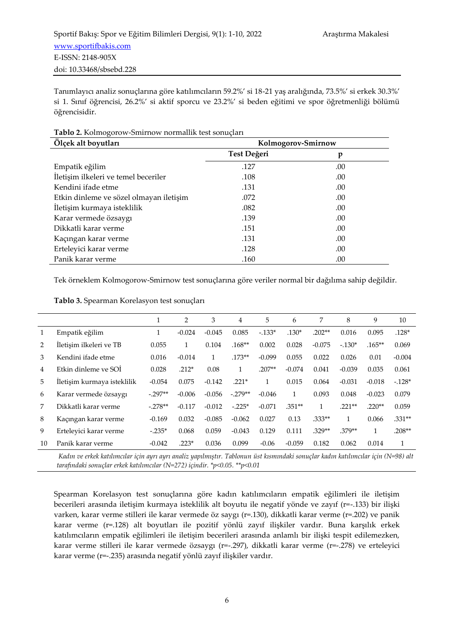Tanımlayıcı analiz sonuçlarına göre katılımcıların 59.2%' si 18-21 yaş aralığında, 73.5%' si erkek 30.3%' si 1. Sınıf öğrencisi, 26.2%' si aktif sporcu ve 23.2%' si beden eğitimi ve spor öğretmenliği bölümü öğrencisidir.

| Ölçek alt boyutları                     | Kolmogorov-Smirnow |     |  |  |  |
|-----------------------------------------|--------------------|-----|--|--|--|
|                                         | Test Değeri        | p   |  |  |  |
| Empatik eğilim                          | .127               | .00 |  |  |  |
| İletişim ilkeleri ve temel beceriler    | .108               | .00 |  |  |  |
| Kendini ifade etme                      | .131               | .00 |  |  |  |
| Etkin dinleme ve sözel olmayan iletişim | .072               | .00 |  |  |  |
| İletişim kurmaya isteklilik             | .082               | .00 |  |  |  |
| Karar vermede özsaygı                   | .139               | .00 |  |  |  |
| Dikkatli karar verme                    | .151               | .00 |  |  |  |
| Kaçıngan karar verme                    | .131               | .00 |  |  |  |
| Erteleyici karar verme                  | .128               | .00 |  |  |  |
| Panik karar verme                       | .160               | .00 |  |  |  |

#### **Tablo 2.** Kolmogorow-Smirnow normallik test sonuçları

Tek örneklem Kolmogorow-Smirnow test sonuçlarına göre veriler normal bir dağılıma sahip değildir.

|    |                             |           | 2        | 3        | 4         | 5        | 6        | 7        | 8        | 9        | 10       |
|----|-----------------------------|-----------|----------|----------|-----------|----------|----------|----------|----------|----------|----------|
|    | Empatik eğilim              |           | $-0.024$ | $-0.045$ | 0.085     | $-133*$  | $.130*$  | $.202**$ | 0.016    | 0.095    | $.128*$  |
| 2  | İletişim ilkeleri ve TB     | 0.055     | 1        | 0.104    | $.168**$  | 0.002    | 0.028    | $-0.075$ | $-.130*$ | $.165**$ | 0.069    |
| 3  | Kendini ifade etme          | 0.016     | $-0.014$ |          | $.173**$  | $-0.099$ | 0.055    | 0.022    | 0.026    | 0.01     | $-0.004$ |
| 4  | Etkin dinleme ve SOI        | 0.028     | $.212*$  | 0.08     |           | $.207**$ | $-0.074$ | 0.041    | $-0.039$ | 0.035    | 0.061    |
| 5  | Iletişim kurmaya isteklilik | $-0.054$  | 0.075    | $-0.142$ | $.221*$   | 1        | 0.015    | 0.064    | $-0.031$ | $-0.018$ | $-128*$  |
| 6  | Karar vermede özsaygı       | $-.297**$ | $-0.006$ | $-0.056$ | $-.279**$ | $-0.046$ | 1        | 0.093    | 0.048    | $-0.023$ | 0.079    |
|    | Dikkatli karar verme        | $-.278**$ | $-0.117$ | $-0.012$ | $-.225*$  | $-0.071$ | $.351**$ |          | $.221**$ | $.220**$ | 0.059    |
| 8  | Kaçıngan karar verme        | $-0.169$  | 0.032    | $-0.085$ | $-0.062$  | 0.027    | 0.13     | $.333**$ | 1        | 0.066    | $.331**$ |
| 9  | Ertelevici karar verme      | $-.235*$  | 0.068    | 0.059    | $-0.043$  | 0.129    | 0.111    | $.329**$ | .379**   | 1        | $.208**$ |
| 10 | Panik karar verme           | $-0.042$  | $.223*$  | 0.036    | 0.099     | $-0.06$  | $-0.059$ | 0.182    | 0.062    | 0.014    | 1        |

*Kadın ve erkek katılımcılar için ayrı ayrı analiz yapılmıştır. Tablonun üst kısmındaki sonuçlar kadın katılımcılar için (N=98) alt tarafındaki sonuçlar erkek katılımcılar (N=272) içindir. \*p<0.05. \*\*p<0.01*

Spearman Korelasyon test sonuçlarına göre kadın katılımcıların empatik eğilimleri ile iletişim becerileri arasında iletişim kurmaya isteklilik alt boyutu ile negatif yönde ve zayıf (r=-.133) bir ilişki varken, karar verme stilleri ile karar vermede öz saygı (r=.130), dikkatli karar verme (r=.202) ve panik karar verme (r=.128) alt boyutları ile pozitif yönlü zayıf ilişkiler vardır. Buna karşılık erkek katılımcıların empatik eğilimleri ile iletişim becerileri arasında anlamlı bir ilişki tespit edilemezken, karar verme stilleri ile karar vermede özsaygı (r=-.297), dikkatli karar verme (r=-.278) ve erteleyici karar verme (r=-.235) arasında negatif yönlü zayıf ilişkiler vardır.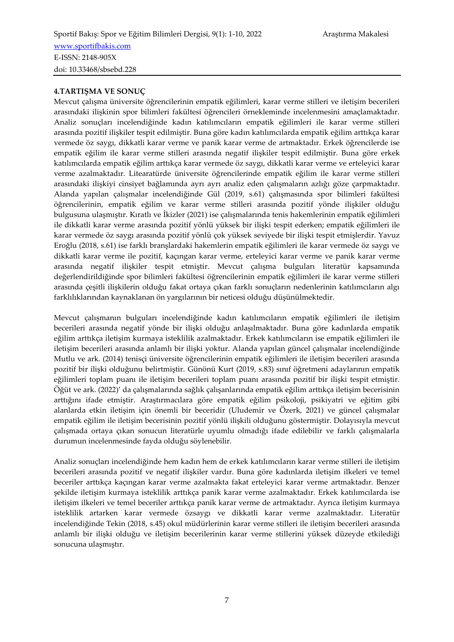#### **4.TARTIŞMA VE SONUÇ**

Mevcut çalışma üniversite öğrencilerinin empatik eğilimleri, karar verme stilleri ve iletişim becerileri arasındaki ilişkinin spor bilimleri fakültesi öğrencileri örnekleminde incelenmesini amaçlamaktadır. Analiz sonuçları incelendiğinde kadın katılımcıların empatik eğilimleri ile karar verme stilleri arasında pozitif ilişkiler tespit edilmiştir. Buna göre kadın katılımcılarda empatik eğilim arttıkça karar vermede öz saygı, dikkatli karar verme ve panik karar verme de artmaktadır. Erkek öğrencilerde ise empatik eğilim ile karar verme stilleri arasında negatif ilişkiler tespit edilmiştir. Buna göre erkek katılımcılarda empatik eğilim arttıkça karar vermede öz saygı, dikkatli karar verme ve erteleyici karar verme azalmaktadır. Litearatürde üniversite öğrencilerinde empatik eğilim ile karar verme stilleri arasındaki ilişkiyi cinsiyet bağlamında ayrı ayrı analiz eden çalışmaların azlığı göze çarpmaktadır. Alanda yapılan çalışmalar incelendiğinde Gül (2019, s.61) çalışmasında spor bilimleri fakültesi öğrencilerinin, empatik eğilim ve karar verme stilleri arasında pozitif yönde ilişkiler olduğu bulgusuna ulaşmıştır. Kıratlı ve İkizler (2021) ise çalışmalarında tenis hakemlerinin empatik eğilimleri ile dikkatli karar verme arasında pozitif yönlü yüksek bir ilişki tespit ederken; empatik eğilimleri ile karar vermede öz saygı arasında pozitif yönlü çok yüksek seviyede bir ilişki tespit etmişlerdir. Yavuz Eroğlu (2018, s.61) ise farklı branşlardaki hakemlerin empatik eğilimleri ile karar vermede öz saygı ve dikkatli karar verme ile pozitif, kaçıngan karar verme, erteleyici karar verme ve panik karar verme arasında negatif ilişkiler tespit etmiştir. Mevcut çalışma bulguları literatür kapsamında değerlendirildiğinde spor bilimleri fakültesi öğrencilerinin empatik eğilimleri ile karar verme stilleri arasında çeşitli ilişkilerin olduğu fakat ortaya çıkan farklı sonuçların nedenlerinin katılımcıların algı farklılıklarından kaynaklanan ön yargılarının bir neticesi olduğu düşünülmektedir.

Mevcut çalışmanın bulguları incelendiğinde kadın katılımcıların empatik eğilimleri ile iletişim becerileri arasında negatif yönde bir ilişki olduğu anlaşılmaktadır. Buna göre kadınlarda empatik eğilim arttıkça iletişim kurmaya isteklilik azalmaktadır. Erkek katılımcıların ise empatik eğilimleri ile iletişim becerileri arasında anlamlı bir ilişki yoktur. Alanda yapılan güncel çalışmalar incelendiğinde Mutlu ve ark. (2014) tenisçi üniversite öğrencilerinin empatik eğilimleri ile iletişim becerileri arasında pozitif bir ilişki olduğunu belirtmiştir. Günönü Kurt (2019, s.83) sınıf öğretmeni adaylarının empatik eğilimleri toplam puanı ile iletişim becerileri toplam puanı arasında pozitif bir ilişki tespit etmiştir. Öğüt ve ark. (2022)' da çalışmalarında sağlık çalışanlarında empatik eğilim arttıkça iletişim becerisinin arttığını ifade etmiştir. Araştırmacılara göre empatik eğilim psikoloji, psikiyatri ve eğitim gibi alanlarda etkin iletişim için önemli bir beceridir (Uludemir ve Özerk, 2021) ve güncel çalışmalar empatik eğilim ile iletişim becerisinin pozitif yönlü ilişkili olduğunu göstermiştir. Dolayısıyla mevcut çalışmada ortaya çıkan sonucun literatürle uyumlu olmadığı ifade edilebilir ve farklı çalışmalarla durumun incelenmesinde fayda olduğu söylenebilir.

Analiz sonuçları incelendiğinde hem kadın hem de erkek katılımcıların karar verme stilleri ile iletişim becerileri arasında pozitif ve negatif ilişkiler vardır. Buna göre kadınlarda iletişim ilkeleri ve temel beceriler arttıkça kaçıngan karar verme azalmakta fakat erteleyici karar verme artmaktadır. Benzer şekilde iletişim kurmaya isteklilik arttıkça panik karar verme azalmaktadır. Erkek katılımcılarda ise iletişim ilkeleri ve temel beceriler arttıkça panik karar verme de artmaktadır. Ayrıca iletişim kurmaya isteklilik artarken karar vermede özsaygı ve dikkatli karar verme azalmaktadır. Literatür incelendiğinde Tekin (2018, s.45) okul müdürlerinin karar verme stilleri ile iletişim becerileri arasında anlamlı bir ilişki olduğu ve iletişim becerilerinin karar verme stillerini yüksek düzeyde etkilediği sonucuna ulaşmıştır.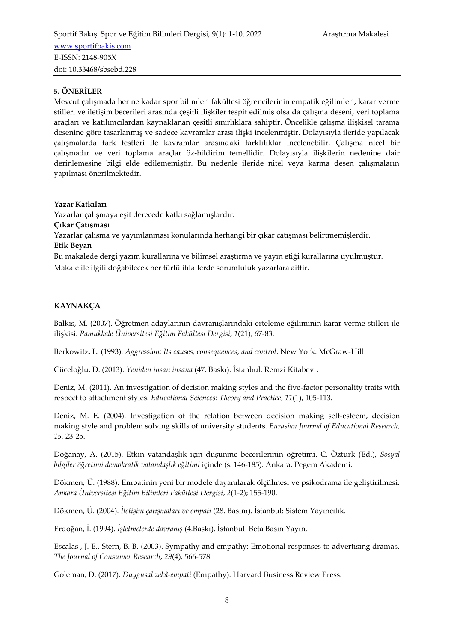### **5. ÖNERİLER**

Mevcut çalışmada her ne kadar spor bilimleri fakültesi öğrencilerinin empatik eğilimleri, karar verme stilleri ve iletişim becerileri arasında çeşitli ilişkiler tespit edilmiş olsa da çalışma deseni, veri toplama araçları ve katılımcılardan kaynaklanan çeşitli sınırlıklara sahiptir. Öncelikle çalışma ilişkisel tarama desenine göre tasarlanmış ve sadece kavramlar arası ilişki incelenmiştir. Dolayısıyla ileride yapılacak çalışmalarda fark testleri ile kavramlar arasındaki farklılıklar incelenebilir. Çalışma nicel bir çalışmadır ve veri toplama araçlar öz-bildirim temellidir. Dolayısıyla ilişkilerin nedenine dair derinlemesine bilgi elde edilememiştir. Bu nedenle ileride nitel veya karma desen çalışmaların yapılması önerilmektedir.

**Yazar Katkıları**

Yazarlar çalışmaya eşit derecede katkı sağlamışlardır.

**Çıkar Çatışması**

Yazarlar çalışma ve yayımlanması konularında herhangi bir çıkar çatışması belirtmemişlerdir.

**Etik Beyan**

Bu makalede dergi yazım kurallarına ve bilimsel araştırma ve yayın etiği kurallarına uyulmuştur.

Makale ile ilgili doğabilecek her türlü ihlallerde sorumluluk yazarlara aittir.

### **KAYNAKÇA**

Balkıs, M. (2007). Öğretmen adaylarının davranışlarındaki erteleme eğiliminin karar verme stilleri ile ilişkisi. *Pamukkale Üniversitesi Eğitim Fakültesi Dergisi*, *1*(21), 67-83.

Berkowitz, L. (1993). *Aggression: Its causes, consequences, and control*. New York: McGraw-Hill.

Cüceloğlu, D. (2013). *Yeniden insan insana* (47. Baskı). İstanbul: Remzi Kitabevi.

Deniz, M. (2011). An investigation of decision making styles and the five-factor personality traits with respect to attachment styles. *Educational Sciences: Theory and Practice*, *11*(1), 105-113.

Deniz, M. E. (2004). Investigation of the relation between decision making self-esteem, decision making style and problem solving skills of university students. *Eurasian Journal of Educational Research, 15,* 23-25.

Doğanay, A. (2015). Etkin vatandaşlık için düşünme becerilerinin öğretimi. C. Öztürk (Ed.), *Sosyal bilgiler öğretimi demokratik vatandaşlık eğitimi* içinde (s. 146-185). Ankara: Pegem Akademi.

Dökmen, Ü. (1988). Empatinin yeni bir modele dayanılarak ölçülmesi ve psikodrama ile geliştirilmesi. *Ankara Üniversitesi Eğitim Bilimleri Fakültesi Dergisi*, *2*(1-2); 155-190.

Dökmen, Ü. (2004). *İletişim çatışmaları ve empati* (28. Basım). İstanbul: Sistem Yayıncılık.

Erdoğan, İ. (1994). *İşletmelerde davranış* (4.Baskı). İstanbul: Beta Basın Yayın.

Escalas , J. E., Stern, B. B. (2003). Sympathy and empathy: Emotional responses to advertising dramas. *The Journal of Consumer Research*, *29*(4), 566-578.

Goleman, D. (2017). *Duygusal zekâ-empati* (Empathy). Harvard Business Review Press.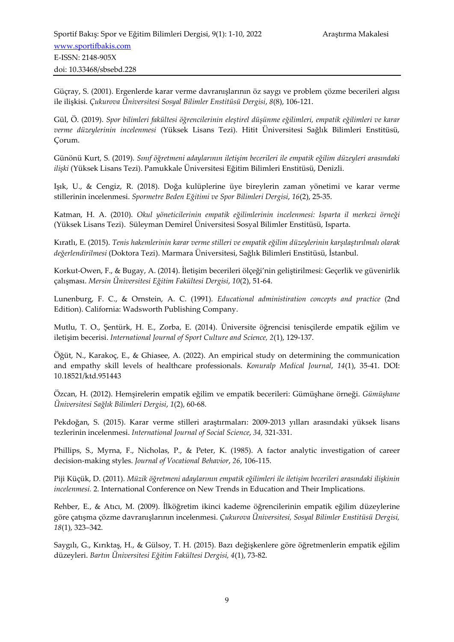Güçray, S. (2001). Ergenlerde karar verme davranışlarının öz saygı ve problem çözme becerileri algısı ile ilişkisi. *Çukurova Üniversitesi Sosyal Bilimler Enstitüsü Dergisi*, *8*(8), 106-121.

Gül, Ö. (2019). *Spor bilimleri fakültesi öğrencilerinin eleştirel düşünme eğilimleri, empatik eğilimleri ve karar verme düzeylerinin incelenmesi* (Yüksek Lisans Tezi). Hitit Üniversitesi Sağlık Bilimleri Enstitüsü, Çorum.

Günönü Kurt, S. (2019). *Sınıf öğretmeni adaylarının iletişim becerileri ile empatik eğilim düzeyleri arasındaki ilişki* (Yüksek Lisans Tezi). Pamukkale Üniversitesi Eğitim Bilimleri Enstitüsü, Denizli.

Işık, U., & Cengiz, R. (2018). Doğa kulüplerine üye bireylerin zaman yönetimi ve karar verme stillerinin incelenmesi. *Spormetre Beden Eğitimi ve Spor Bilimleri Dergisi*, *16*(2), 25-35.

Katman, H. A. (2010). *Okul yöneticilerinin empatik eğilimlerinin incelenmesi: Isparta il merkezi örneği* (Yüksek Lisans Tezi). Süleyman Demirel Üniversitesi Sosyal Bilimler Enstitüsü, Isparta.

Kıratlı, E. (2015). *Tenis hakemlerinin karar verme stilleri ve empatik eğilim düzeylerinin karşılaştırılmalı olarak değerlendirilmesi* (Doktora Tezi). Marmara Üniversitesi, Sağlık Bilimleri Enstitüsü, İstanbul.

Korkut-Owen, F., & Bugay, A. (2014). İletişim becerileri ölçeği'nin geliştirilmesi: Geçerlik ve güvenirlik çalışması. *Mersin Üniversitesi Eğitim Fakültesi Dergisi*, *10*(2), 51-64.

Lunenburg, F. C., & Ornstein, A. C. (1991). *Educational administiration concepts and practice* (2nd Edition). California: Wadsworth Publishing Company.

Mutlu, T. O., Şentürk, H. E., Zorba, E. (2014). Üniversite öğrencisi tenisçilerde empatik eğilim ve iletişim becerisi. *International Journal of Sport Culture and Science, 2*(1), 129-137.

Öğüt, N., Karakoç, E., & Ghiasee, A. (2022). An empirical study on determining the communication and empathy skill levels of healthcare professionals. *Konuralp Medical Journal*, *14*(1), 35-41. DOI: 10.18521/ktd.951443

Özcan, H. (2012). Hemşirelerin empatik eğilim ve empatik becerileri: Gümüşhane örneği. *Gümüşhane Üniversitesi Sağlık Bilimleri Dergisi*, *1*(2), 60-68.

Pekdoğan, S. (2015). Karar verme stilleri araştırmaları: 2009-2013 yılları arasındaki yüksek lisans tezlerinin incelenmesi. *International Journal of Social Science*, *34,* 321-331.

Phillips, S., Myrna, F., Nicholas, P., & Peter, K. (1985). A factor analytic investigation of career decision-making styles. *Journal of Vocational Behavior*, *26*, 106-115.

Piji Küçük, D. (2011). *Müzik öğretmeni adaylarının empatik eğilimleri ile iletişim becerileri arasındaki ilişkinin incelenmesi.* 2. International Conference on New Trends in Education and Their Implications.

Rehber, E., & Atıcı, M. (2009). İlköğretim ikinci kademe öğrencilerinin empatik eğilim düzeylerine göre çatışma çözme davranışlarının incelenmesi. *Çukurova Üniversitesi, Sosyal Bilimler Enstitüsü Dergisi, 18*(1), 323–342.

Saygılı, G., Kırıktaş, H., & Gülsoy, T. H. (2015). Bazı değişkenlere göre öğretmenlerin empatik eğilim düzeyleri. *Bartın Üniversitesi Eğitim Fakültesi Dergisi, 4*(1), 73-82.